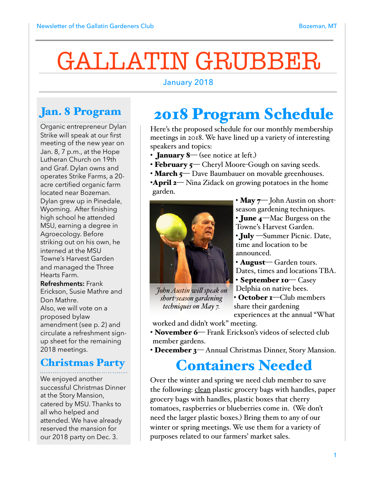# GALLATIN GRUBBER

#### January 2018

## Jan. 8 Program

Organic entrepreneur Dylan Strike will speak at our first meeting of the new year on Jan. 8, 7 p.m., at the Hope Lutheran Church on 19th and Graf. Dylan owns and operates Strike Farms, a 20 acre certified organic farm located near Bozeman. Dylan grew up in Pinedale, Wyoming. After finishing high school he attended MSU, earning a degree in Agroecology. Before striking out on his own, he interned at the MSU Towne's Harvest Garden and managed the Three Hearts Farm.

**Refreshments:** Frank Erickson, Susie Mathre and Don Mathre. Also, we will vote on a proposed bylaw amendment (see p. 2) and circulate a refreshment signup sheet for the remaining 2018 meetings.

## Christmas Party

We enjoyed another successful Christmas Dinner at the Story Mansion, catered by MSU. Thanks to all who helped and attended. We have already reserved the mansion for our 2018 party on Dec. 3.

## 2018 Program Schedule

Here's the proposed schedule for our monthly membership meetings in 2018. We have lined up a variety of interesting speakers and topics:

- **January 8** (see notice at left.)
- February 5— Cheryl Moore-Gough on saving seeds.
- March 5— Dave Baumbauer on movable greenhouses.
- •**April 2—** Nina Zidack on growing potatoes in the home garden.



• May  $\tau$  John Austin on shortseason gardening techniques.

• June 4—Mac Burgess on the Towne's Harvest Garden.

• **July** — Summer Picnic. Date, time and location to be announced.

• **August** – Garden tours. Dates, times and locations TBA. • September 10— Casey

 *John Austin wil speak on short-season gardening techniques on May 7.*

Delphia on native bees. • October **1**—Club members share their gardening experiences at the annual "What

worked and didn't work" meeting.

- November 6— Frank Erickson's videos of selected club member gardens.
- December 3— Annual Christmas Dinner, Story Mansion.

## Containers Needed

Over the winter and spring we need club member to save the following: clean plastic grocery bags with handles, paper grocery bags with handles, plastic boxes that cherry tomatoes, raspberries or blueberries come in. (We don't need the larger plastic boxes.) Bring them to any of our winter or spring meetings. We use them for a variety of purposes related to our farmers' market sales.